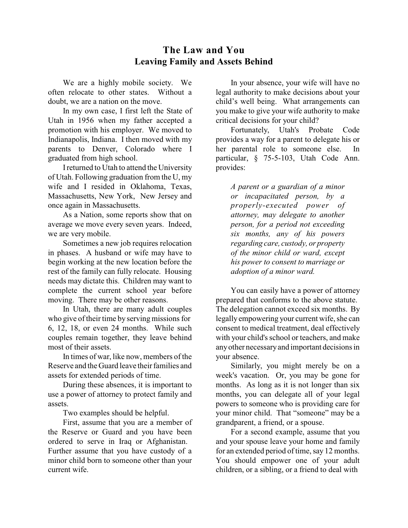## **The Law and You Leaving Family and Assets Behind**

We are a highly mobile society. We often relocate to other states. Without a doubt, we are a nation on the move.

In my own case, I first left the State of Utah in 1956 when my father accepted a promotion with his employer. We moved to Indianapolis, Indiana. I then moved with my parents to Denver, Colorado where I graduated from high school.

Ireturned to Utah to attend the University of Utah. Following graduation from the U, my wife and I resided in Oklahoma, Texas, Massachusetts, New York, New Jersey and once again in Massachusetts.

As a Nation, some reports show that on average we move every seven years. Indeed, we are very mobile.

Sometimes a new job requires relocation in phases. A husband or wife may have to begin working at the new location before the rest of the family can fully relocate. Housing needs may dictate this. Children may want to complete the current school year before moving. There may be other reasons.

In Utah, there are many adult couples who give of their time by serving missions for 6, 12, 18, or even 24 months. While such couples remain together, they leave behind most of their assets.

In times of war, like now, members of the Reserve and the Guard leave their families and assets for extended periods of time.

During these absences, it is important to use a power of attorney to protect family and assets.

Two examples should be helpful.

First, assume that you are a member of the Reserve or Guard and you have been ordered to serve in Iraq or Afghanistan. Further assume that you have custody of a minor child born to someone other than your current wife.

In your absence, your wife will have no legal authority to make decisions about your child's well being. What arrangements can you make to give your wife authority to make critical decisions for your child?

Fortunately, Utah's Probate Code provides a way for a parent to delegate his or her parental role to someone else. In particular, § 75-5-103, Utah Code Ann. provides:

*A parent or a guardian of a minor or incapacitated person, by a properly-executed power of attorney, may delegate to another person, for a period not exceeding six months, any of his powers regarding care, custody, or property of the minor child or ward, except his power to consent to marriage or adoption of a minor ward.*

You can easily have a power of attorney prepared that conforms to the above statute. The delegation cannot exceed six months. By legally empowering your current wife, she can consent to medical treatment, deal effectively with your child's school or teachers, and make anyother necessaryand important decisions in your absence.

Similarly, you might merely be on a week's vacation. Or, you may be gone for months. As long as it is not longer than six months, you can delegate all of your legal powers to someone who is providing care for your minor child. That "someone" may be a grandparent, a friend, or a spouse.

For a second example, assume that you and your spouse leave your home and family for an extended period of time, say 12 months. You should empower one of your adult children, or a sibling, or a friend to deal with